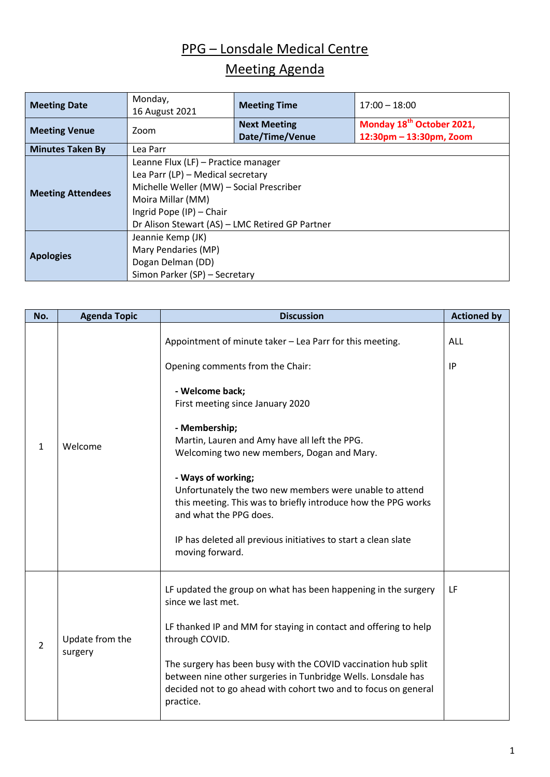## PPG – Lonsdale Medical Centre

## Meeting Agenda

| <b>Meeting Date</b>      | Monday,<br>16 August 2021                                                                                                                                                                                                | <b>Meeting Time</b>                    | $17:00 - 18:00$                                                  |  |
|--------------------------|--------------------------------------------------------------------------------------------------------------------------------------------------------------------------------------------------------------------------|----------------------------------------|------------------------------------------------------------------|--|
| <b>Meeting Venue</b>     | Zoom                                                                                                                                                                                                                     | <b>Next Meeting</b><br>Date/Time/Venue | Monday 18 <sup>th</sup> October 2021,<br>12:30pm - 13:30pm, Zoom |  |
| <b>Minutes Taken By</b>  | Lea Parr                                                                                                                                                                                                                 |                                        |                                                                  |  |
| <b>Meeting Attendees</b> | Leanne Flux (LF) - Practice manager<br>Lea Parr (LP) - Medical secretary<br>Michelle Weller (MW) - Social Prescriber<br>Moira Millar (MM)<br>Ingrid Pope (IP) - Chair<br>Dr Alison Stewart (AS) - LMC Retired GP Partner |                                        |                                                                  |  |
| <b>Apologies</b>         | Jeannie Kemp (JK)<br>Mary Pendaries (MP)<br>Dogan Delman (DD)<br>Simon Parker (SP) - Secretary                                                                                                                           |                                        |                                                                  |  |

| No.            | <b>Agenda Topic</b>        | <b>Discussion</b>                                                                                                                                                                                               |                  |  |
|----------------|----------------------------|-----------------------------------------------------------------------------------------------------------------------------------------------------------------------------------------------------------------|------------------|--|
| $\mathbf{1}$   | Welcome                    | Appointment of minute taker - Lea Parr for this meeting.<br>Opening comments from the Chair:                                                                                                                    | <b>ALL</b><br>IP |  |
|                |                            | - Welcome back;<br>First meeting since January 2020                                                                                                                                                             |                  |  |
|                |                            | - Membership;<br>Martin, Lauren and Amy have all left the PPG.<br>Welcoming two new members, Dogan and Mary.                                                                                                    |                  |  |
|                |                            | - Ways of working;<br>Unfortunately the two new members were unable to attend<br>this meeting. This was to briefly introduce how the PPG works<br>and what the PPG does.                                        |                  |  |
|                |                            | IP has deleted all previous initiatives to start a clean slate<br>moving forward.                                                                                                                               |                  |  |
|                |                            | LF updated the group on what has been happening in the surgery<br>since we last met.                                                                                                                            | LF               |  |
| $\overline{2}$ | Update from the<br>surgery | LF thanked IP and MM for staying in contact and offering to help<br>through COVID.                                                                                                                              |                  |  |
|                |                            | The surgery has been busy with the COVID vaccination hub split<br>between nine other surgeries in Tunbridge Wells. Lonsdale has<br>decided not to go ahead with cohort two and to focus on general<br>practice. |                  |  |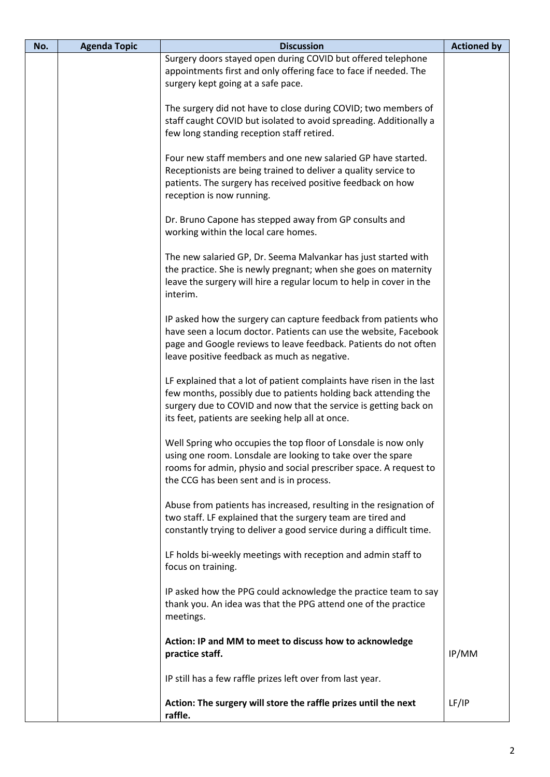| No. | <b>Agenda Topic</b><br><b>Discussion</b> |                                                                                                                                                                                                                                                                 | <b>Actioned by</b> |
|-----|------------------------------------------|-----------------------------------------------------------------------------------------------------------------------------------------------------------------------------------------------------------------------------------------------------------------|--------------------|
|     |                                          | Surgery doors stayed open during COVID but offered telephone<br>appointments first and only offering face to face if needed. The<br>surgery kept going at a safe pace.                                                                                          |                    |
|     |                                          | The surgery did not have to close during COVID; two members of<br>staff caught COVID but isolated to avoid spreading. Additionally a<br>few long standing reception staff retired.                                                                              |                    |
|     |                                          | Four new staff members and one new salaried GP have started.<br>Receptionists are being trained to deliver a quality service to<br>patients. The surgery has received positive feedback on how<br>reception is now running.                                     |                    |
|     |                                          | Dr. Bruno Capone has stepped away from GP consults and<br>working within the local care homes.                                                                                                                                                                  |                    |
|     |                                          | The new salaried GP, Dr. Seema Malvankar has just started with<br>the practice. She is newly pregnant; when she goes on maternity<br>leave the surgery will hire a regular locum to help in cover in the<br>interim.                                            |                    |
|     |                                          | IP asked how the surgery can capture feedback from patients who<br>have seen a locum doctor. Patients can use the website, Facebook<br>page and Google reviews to leave feedback. Patients do not often<br>leave positive feedback as much as negative.         |                    |
|     |                                          | LF explained that a lot of patient complaints have risen in the last<br>few months, possibly due to patients holding back attending the<br>surgery due to COVID and now that the service is getting back on<br>its feet, patients are seeking help all at once. |                    |
|     |                                          | Well Spring who occupies the top floor of Lonsdale is now only<br>using one room. Lonsdale are looking to take over the spare<br>rooms for admin, physio and social prescriber space. A request to<br>the CCG has been sent and is in process.                  |                    |
|     |                                          | Abuse from patients has increased, resulting in the resignation of<br>two staff. LF explained that the surgery team are tired and<br>constantly trying to deliver a good service during a difficult time.                                                       |                    |
|     |                                          | LF holds bi-weekly meetings with reception and admin staff to<br>focus on training.                                                                                                                                                                             |                    |
|     |                                          | IP asked how the PPG could acknowledge the practice team to say<br>thank you. An idea was that the PPG attend one of the practice<br>meetings.                                                                                                                  |                    |
|     |                                          | Action: IP and MM to meet to discuss how to acknowledge<br>practice staff.                                                                                                                                                                                      | IP/MM              |
|     |                                          | IP still has a few raffle prizes left over from last year.                                                                                                                                                                                                      |                    |
|     |                                          | Action: The surgery will store the raffle prizes until the next<br>raffle.                                                                                                                                                                                      | LF/IP              |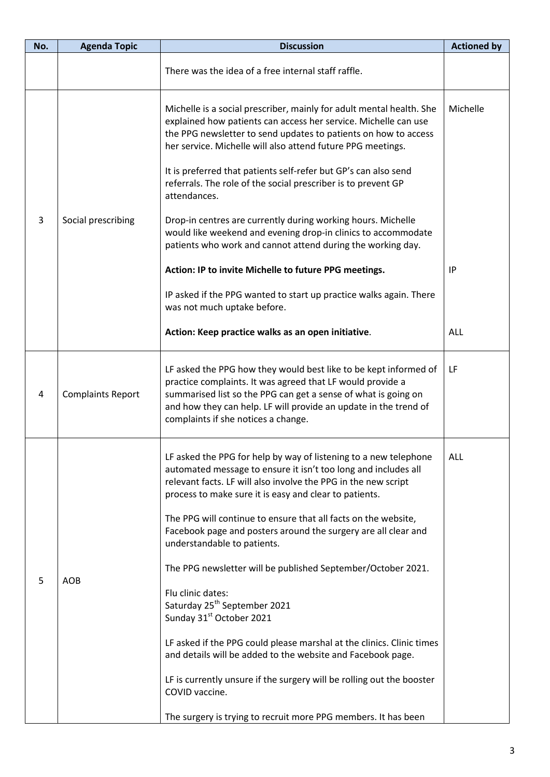| No. | <b>Agenda Topic</b>      | <b>Discussion</b><br><b>Actioned by</b>                                                                                                                                                                                                                                                                                                                                                                                                                                                                                                                                                                                                                                                                                                                                                                                                                                                                         |            |  |
|-----|--------------------------|-----------------------------------------------------------------------------------------------------------------------------------------------------------------------------------------------------------------------------------------------------------------------------------------------------------------------------------------------------------------------------------------------------------------------------------------------------------------------------------------------------------------------------------------------------------------------------------------------------------------------------------------------------------------------------------------------------------------------------------------------------------------------------------------------------------------------------------------------------------------------------------------------------------------|------------|--|
|     |                          | There was the idea of a free internal staff raffle.                                                                                                                                                                                                                                                                                                                                                                                                                                                                                                                                                                                                                                                                                                                                                                                                                                                             |            |  |
| 3   | Social prescribing       | Michelle<br>Michelle is a social prescriber, mainly for adult mental health. She<br>explained how patients can access her service. Michelle can use<br>the PPG newsletter to send updates to patients on how to access<br>her service. Michelle will also attend future PPG meetings.<br>It is preferred that patients self-refer but GP's can also send<br>referrals. The role of the social prescriber is to prevent GP<br>attendances.<br>Drop-in centres are currently during working hours. Michelle<br>would like weekend and evening drop-in clinics to accommodate<br>patients who work and cannot attend during the working day.<br>Action: IP to invite Michelle to future PPG meetings.<br>IP<br>IP asked if the PPG wanted to start up practice walks again. There                                                                                                                                  |            |  |
|     |                          | was not much uptake before.<br>Action: Keep practice walks as an open initiative.                                                                                                                                                                                                                                                                                                                                                                                                                                                                                                                                                                                                                                                                                                                                                                                                                               | <b>ALL</b> |  |
| 4   | <b>Complaints Report</b> | LF asked the PPG how they would best like to be kept informed of<br>practice complaints. It was agreed that LF would provide a<br>summarised list so the PPG can get a sense of what is going on<br>and how they can help. LF will provide an update in the trend of<br>complaints if she notices a change.                                                                                                                                                                                                                                                                                                                                                                                                                                                                                                                                                                                                     | LF         |  |
| 5   | <b>AOB</b>               | LF asked the PPG for help by way of listening to a new telephone<br>automated message to ensure it isn't too long and includes all<br>relevant facts. LF will also involve the PPG in the new script<br>process to make sure it is easy and clear to patients.<br>The PPG will continue to ensure that all facts on the website,<br>Facebook page and posters around the surgery are all clear and<br>understandable to patients.<br>The PPG newsletter will be published September/October 2021.<br>Flu clinic dates:<br>Saturday 25 <sup>th</sup> September 2021<br>Sunday 31 <sup>st</sup> October 2021<br>LF asked if the PPG could please marshal at the clinics. Clinic times<br>and details will be added to the website and Facebook page.<br>LF is currently unsure if the surgery will be rolling out the booster<br>COVID vaccine.<br>The surgery is trying to recruit more PPG members. It has been | ALL        |  |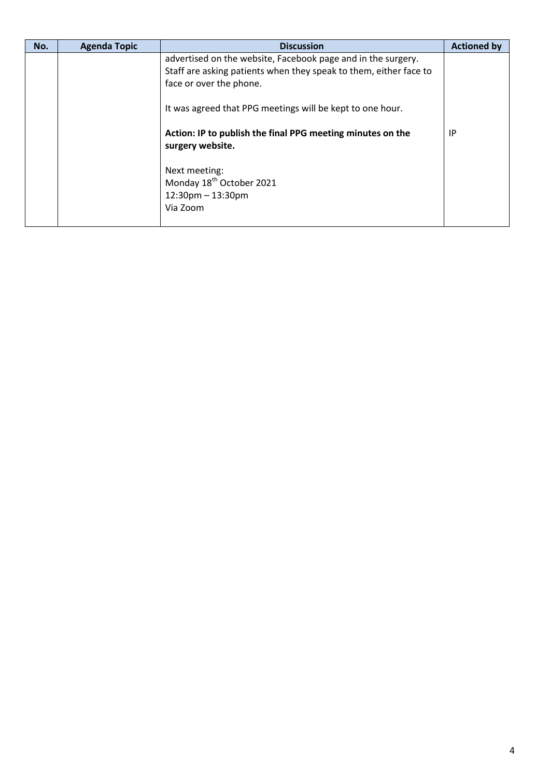| No. | <b>Agenda Topic</b> | <b>Discussion</b>                                                                                                                                            | <b>Actioned by</b> |
|-----|---------------------|--------------------------------------------------------------------------------------------------------------------------------------------------------------|--------------------|
|     |                     | advertised on the website, Facebook page and in the surgery.<br>Staff are asking patients when they speak to them, either face to<br>face or over the phone. |                    |
|     |                     | It was agreed that PPG meetings will be kept to one hour.                                                                                                    |                    |
|     |                     | Action: IP to publish the final PPG meeting minutes on the<br>surgery website.                                                                               | IP                 |
|     |                     | Next meeting:<br>Monday 18 <sup>th</sup> October 2021<br>$12:30$ pm $- 13:30$ pm<br>Via Zoom                                                                 |                    |